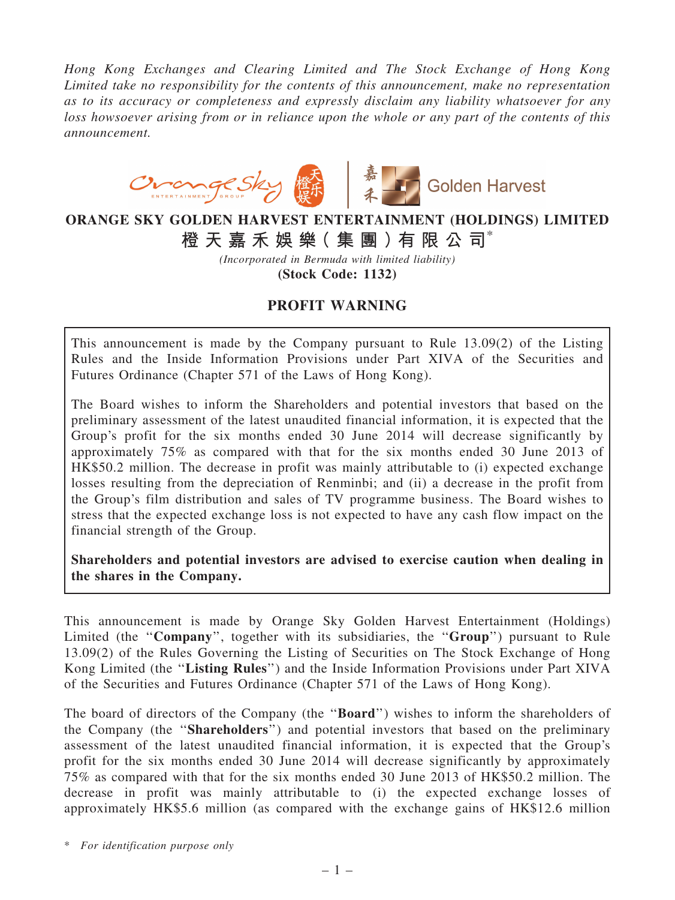*Hong Kong Exchanges and Clearing Limited and The Stock Exchange of Hong Kong Limited take no responsibility for the contents of this announcement, make no representation as to its accuracy or completeness and expressly disclaim any liability whatsoever for any loss howsoever arising from or in reliance upon the whole or any part of the contents of this announcement.*



## ORANGE SKY GOLDEN HARVEST ENTERTAINMENT (HOLDINGS) LIMITED 橙 天 嘉 禾 娛 樂( 集 團 )有 限 公 司\*

*(Incorporated in Bermuda with limited liability)*

(Stock Code: 1132)

## PROFIT WARNING

This announcement is made by the Company pursuant to Rule 13.09(2) of the Listing Rules and the Inside Information Provisions under Part XIVA of the Securities and Futures Ordinance (Chapter 571 of the Laws of Hong Kong).

The Board wishes to inform the Shareholders and potential investors that based on the preliminary assessment of the latest unaudited financial information, it is expected that the Group's profit for the six months ended 30 June 2014 will decrease significantly by approximately 75% as compared with that for the six months ended 30 June 2013 of HK\$50.2 million. The decrease in profit was mainly attributable to (i) expected exchange losses resulting from the depreciation of Renminbi; and (ii) a decrease in the profit from the Group's film distribution and sales of TV programme business. The Board wishes to stress that the expected exchange loss is not expected to have any cash flow impact on the financial strength of the Group.

Shareholders and potential investors are advised to exercise caution when dealing in the shares in the Company.

This announcement is made by Orange Sky Golden Harvest Entertainment (Holdings) Limited (the "Company", together with its subsidiaries, the "Group") pursuant to Rule 13.09(2) of the Rules Governing the Listing of Securities on The Stock Exchange of Hong Kong Limited (the "Listing Rules") and the Inside Information Provisions under Part XIVA of the Securities and Futures Ordinance (Chapter 571 of the Laws of Hong Kong).

The board of directors of the Company (the "Board") wishes to inform the shareholders of the Company (the ''Shareholders'') and potential investors that based on the preliminary assessment of the latest unaudited financial information, it is expected that the Group's profit for the six months ended 30 June 2014 will decrease significantly by approximately 75% as compared with that for the six months ended 30 June 2013 of HK\$50.2 million. The decrease in profit was mainly attributable to (i) the expected exchange losses of approximately HK\$5.6 million (as compared with the exchange gains of HK\$12.6 million

\* *For identification purpose only*